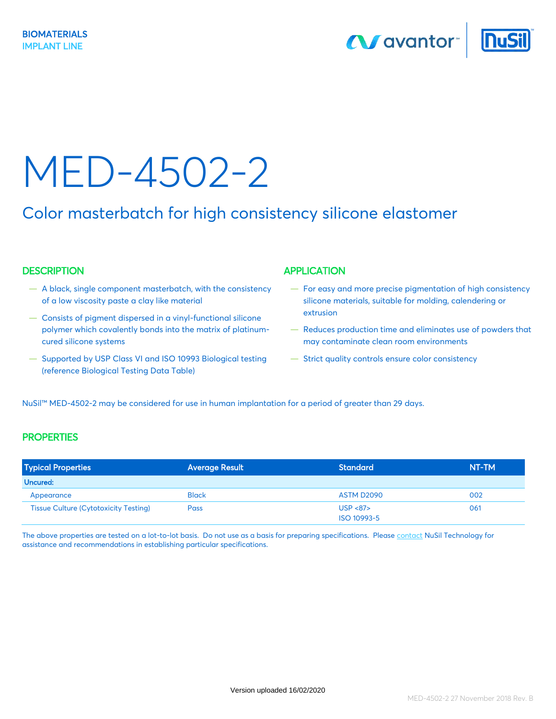**N** avantor



# MED-4502-2

### Color masterbatch for high consistency silicone elastomer

#### DESCRIPTION APPLICATION

- A black, single component masterbatch, with the consistency of a low viscosity paste a clay like material
- Consists of pigment dispersed in a vinyl-functional silicone polymer which covalently bonds into the matrix of platinumcured silicone systems
- Supported by USP Class VI and ISO 10993 Biological testing (reference Biological Testing Data Table)

- For easy and more precise pigmentation of high consistency silicone materials, suitable for molding, calendering or extrusion
- Reduces production time and eliminates use of powders that may contaminate clean room environments
- Strict quality controls ensure color consistency

NuSil™ MED-4502-2 may be considered for use in human implantation for a period of greater than 29 days.

#### **PROPERTIES**

| <b>Typical Properties</b>                    | <b>Average Result</b> | Standard                | NT-TM |
|----------------------------------------------|-----------------------|-------------------------|-------|
| Uncured:                                     |                       |                         |       |
| Appearance                                   | <b>Black</b>          | ASTM D2090              | 002   |
| <b>Tissue Culture (Cytotoxicity Testing)</b> | <b>Pass</b>           | USP < 87<br>ISO 10993-5 | 061   |

The above properties are tested on a lot-to-lot basis. Do not use as a basis for preparing specifications. Please [contact](http://www.nusil.com/contact/index.aspx) NuSil Technology for assistance and recommendations in establishing particular specifications.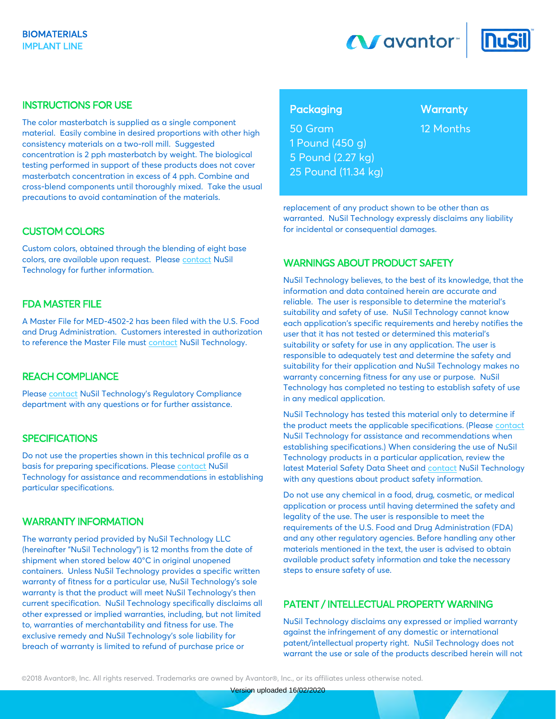



#### INSTRUCTIONS FOR USE

The color masterbatch is supplied as a single component material. Easily combine in desired proportions with other high consistency materials on a two-roll mill. Suggested concentration is 2 pph masterbatch by weight. The biological testing performed in support of these products does not cover masterbatch concentration in excess of 4 pph. Combine and cross-blend components until thoroughly mixed. Take the usual precautions to avoid contamination of the materials.

#### CUSTOM COLORS

Custom colors, obtained through the blending of eight base colors, are available upon request. Please [contact](http://www.nusil.com/contact/index.aspx) NuSil Technology for further information.

#### FDA MASTER FILE

A Master File for MED-4502-2 has been filed with the U.S. Food and Drug Administration. Customers interested in authorization to reference the Master File mus[t contact](http://www.nusil.com/contact/index.aspx) NuSil Technology.

#### REACH COMPLIANCE

Please [contact](http://www.nusil.com/contact/index.aspx) NuSil Technology's Regulatory Compliance department with any questions or for further assistance.

#### **SPECIFICATIONS**

Do not use the properties shown in this technical profile as a basis for preparing specifications. Please [contact](http://www.nusil.com/contact/index.aspx) NuSil Technology for assistance and recommendations in establishing particular specifications.

#### WARRANTY INFORMATION

The warranty period provided by NuSil Technology LLC (hereinafter "NuSil Technology") is 12 months from the date of shipment when stored below 40°C in original unopened containers. Unless NuSil Technology provides a specific written warranty of fitness for a particular use, NuSil Technology's sole warranty is that the product will meet NuSil Technology's then current specification. NuSil Technology specifically disclaims all other expressed or implied warranties, including, but not limited to, warranties of merchantability and fitness for use. The exclusive remedy and NuSil Technology's sole liability for breach of warranty is limited to refund of purchase price or

#### Packaging Warranty

50 Gram 12 Months 1 Pound (450 g) 5 Pound (2.27 kg) 25 Pound (11.34 kg)

replacement of any product shown to be other than as warranted. NuSil Technology expressly disclaims any liability for incidental or consequential damages.

#### WARNINGS ABOUT PRODUCT SAFETY

NuSil Technology believes, to the best of its knowledge, that the information and data contained herein are accurate and reliable. The user is responsible to determine the material's suitability and safety of use. NuSil Technology cannot know each application's specific requirements and hereby notifies the user that it has not tested or determined this material's suitability or safety for use in any application. The user is responsible to adequately test and determine the safety and suitability for their application and NuSil Technology makes no warranty concerning fitness for any use or purpose. NuSil Technology has completed no testing to establish safety of use in any medical application.

NuSil Technology has tested this material only to determine if the product meets the applicable specifications. (Pleas[e contact](http://www.nusil.com/contact/index.aspx) NuSil Technology for assistance and recommendations when establishing specifications.) When considering the use of NuSil Technology products in a particular application, review the latest Material Safety Data Sheet and [contact](http://www.nusil.com/contact/index.aspx) NuSil Technology with any questions about product safety information.

Do not use any chemical in a food, drug, cosmetic, or medical application or process until having determined the safety and legality of the use. The user is responsible to meet the requirements of the U.S. Food and Drug Administration (FDA) and any other regulatory agencies. Before handling any other materials mentioned in the text, the user is advised to obtain available product safety information and take the necessary steps to ensure safety of use.

#### PATENT / INTELLECTUAL PROPERTY WARNING

NuSil Technology disclaims any expressed or implied warranty against the infringement of any domestic or international patent/intellectual property right. NuSil Technology does not warrant the use or sale of the products described herein will not

©2018 Avantor®, Inc. All rights reserved. Trademarks are owned by Avantor®, Inc., or its affiliates unless otherwise noted.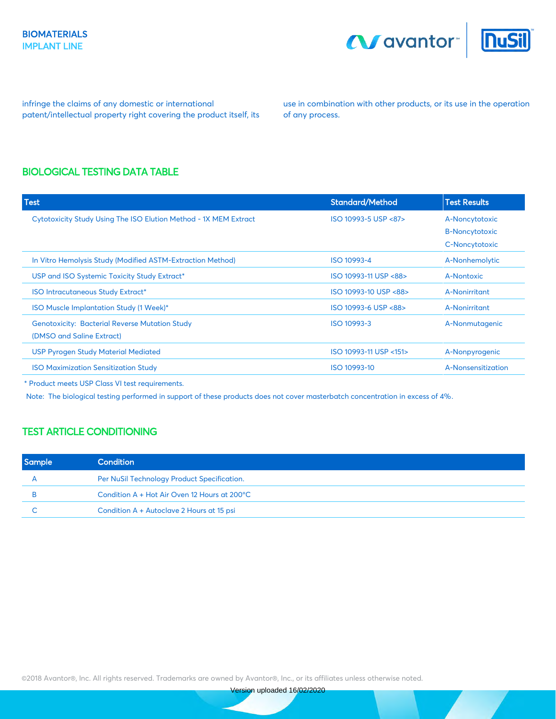



infringe the claims of any domestic or international patent/intellectual property right covering the product itself, its

use in combination with other products, or its use in the operation of any process.

#### BIOLOGICAL TESTING DATA TABLE

| <b>Test</b>                                                      | <b>Standard/Method</b> | <b>Test Results</b>   |
|------------------------------------------------------------------|------------------------|-----------------------|
| Cytotoxicity Study Using The ISO Elution Method - 1X MEM Extract | ISO 10993-5 USP <87>   | A-Noncytotoxic        |
|                                                                  |                        | <b>B-Noncytotoxic</b> |
|                                                                  |                        | C-Noncytotoxic        |
| In Vitro Hemolysis Study (Modified ASTM-Extraction Method)       | ISO 10993-4            | A-Nonhemolytic        |
| USP and ISO Systemic Toxicity Study Extract*                     | ISO 10993-11 USP <88>  | A-Nontoxic            |
| <b>ISO Intracutaneous Study Extract*</b>                         | ISO 10993-10 USP <88>  | A-Nonirritant         |
| ISO Muscle Implantation Study (1 Week)*                          | ISO 10993-6 USP <88>   | A-Nonirritant         |
| <b>Genotoxicity: Bacterial Reverse Mutation Study</b>            | ISO 10993-3            | A-Nonmutagenic        |
| (DMSO and Saline Extract)                                        |                        |                       |
| <b>USP Pyrogen Study Material Mediated</b>                       | ISO 10993-11 USP <151> | A-Nonpyrogenic        |
| <b>ISO Maximization Sensitization Study</b>                      | ISO 10993-10           | A-Nonsensitization    |

\* Product meets USP Class VI test requirements.

Note: The biological testing performed in support of these products does not cover masterbatch concentration in excess of 4%.

#### TEST ARTICLE CONDITIONING

| <b>Sample</b> | Condition                                    |
|---------------|----------------------------------------------|
|               | Per NuSil Technology Product Specification.  |
|               | Condition A + Hot Air Oven 12 Hours at 200°C |
|               | Condition A + Autoclave 2 Hours at 15 psi    |

©2018 Avantor®, Inc. All rights reserved. Trademarks are owned by Avantor®, Inc., or its affiliates unless otherwise noted.